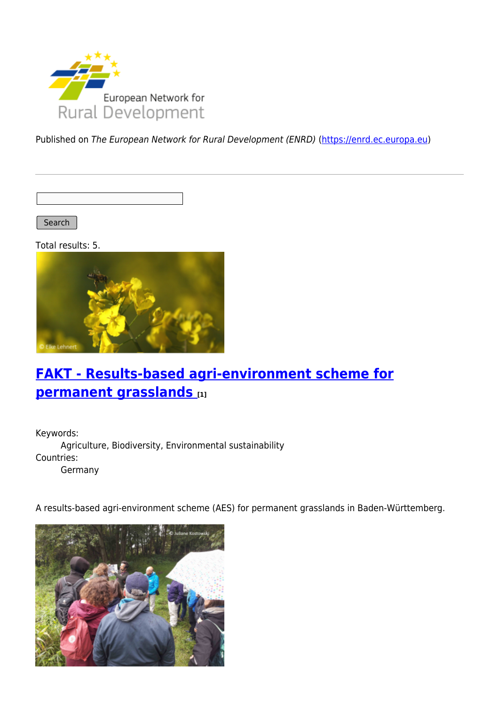

Published on The European Network for Rural Development (ENRD) [\(https://enrd.ec.europa.eu](https://enrd.ec.europa.eu))

Search |

Total results: 5.



## **[FAKT - Results-based agri-environment scheme for](https://enrd.ec.europa.eu/projects-practice/fakt-results-based-agri-environment-scheme-permanent-grasslands_en) [permanent grasslands](https://enrd.ec.europa.eu/projects-practice/fakt-results-based-agri-environment-scheme-permanent-grasslands_en) [1]**

Keywords: Agriculture, Biodiversity, Environmental sustainability Countries: Germany

A results-based agri-environment scheme (AES) for permanent grasslands in Baden-Württemberg.

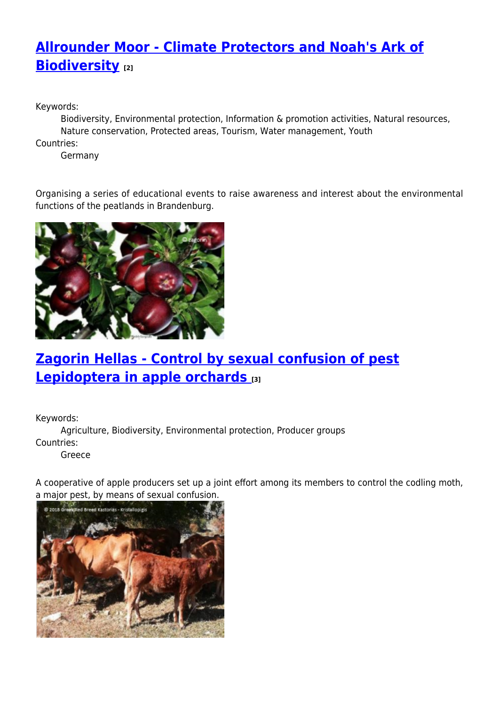# **[Allrounder Moor - Climate Protectors and Noah's Ark of](https://enrd.ec.europa.eu/projects-practice/allrounder-moor-climate-protectors-and-noahs-ark-biodiversity_en) [Biodiversity](https://enrd.ec.europa.eu/projects-practice/allrounder-moor-climate-protectors-and-noahs-ark-biodiversity_en) [2]**

Keywords:

Biodiversity, Environmental protection, Information & promotion activities, Natural resources, Nature conservation, Protected areas, Tourism, Water management, Youth

Countries:

Germany

Organising a series of educational events to raise awareness and interest about the environmental functions of the peatlands in Brandenburg.



# **[Zagorin Hellas - Control by sexual confusion of pest](https://enrd.ec.europa.eu/projects-practice/zagorin-hellas-control-sexual-confusion-pest-lepidoptera-apple-orchards_en) [Lepidoptera in apple orchards](https://enrd.ec.europa.eu/projects-practice/zagorin-hellas-control-sexual-confusion-pest-lepidoptera-apple-orchards_en) [3]**

Keywords:

Agriculture, Biodiversity, Environmental protection, Producer groups Countries:

Greece

A cooperative of apple producers set up a joint effort among its members to control the codling moth, a major pest, by means of sexual confusion.

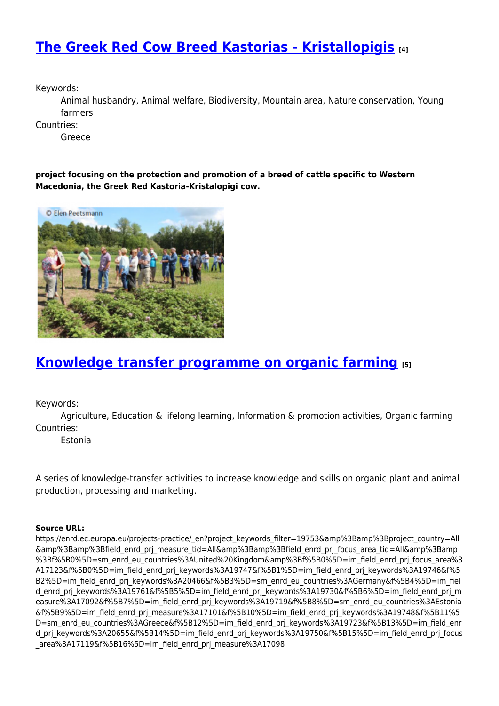## **[The Greek Red Cow Breed Kastorias - Kristallopigis](https://enrd.ec.europa.eu/projects-practice/greek-red-cow-breed-kastorias-kristallopigis_en) [4]**

Keywords:

Animal husbandry, Animal welfare, Biodiversity, Mountain area, Nature conservation, Young farmers

Countries:

Greece

**project focusing on the protection and promotion of a breed of cattle specific to Western Macedonia, the Greek Red Kastoria-Kristalopigi cow.**



### **[Knowledge transfer programme on organic farming](https://enrd.ec.europa.eu/projects-practice/knowledge-transfer-programme-organic-farming_en) [5]**

Keywords:

Agriculture, Education & lifelong learning, Information & promotion activities, Organic farming Countries:

Estonia

A series of knowledge-transfer activities to increase knowledge and skills on organic plant and animal production, processing and marketing.

#### **Source URL:**

https://enrd.ec.europa.eu/projects-practice/\_en?project\_keywords\_filter=19753&amp%3Bamp%3Bproject\_country=All &amp%3Bamp%3Bfield\_enrd\_prj\_measure\_tid=All&amp%3Bamp%3Bfield\_enrd\_prj\_focus\_area\_tid=All&amp%3Bamp %3Bf%5B0%5D=sm\_enrd\_eu\_countries%3AUnited%20Kingdom&amp%3Bf%5B0%5D=im\_field\_enrd\_prj\_focus\_area%3 A17123&f%5B0%5D=im\_field\_enrd\_prj\_keywords%3A19747&f%5B1%5D=im\_field\_enrd\_prj\_keywords%3A19746&f%5 B2%5D=im\_field\_enrd\_prj\_keywords%3A20466&f%5B3%5D=sm\_enrd\_eu\_countries%3AGermany&f%5B4%5D=im\_fiel d enrd prj keywords%3A19761&f%5B5%5D=im field enrd prj keywords%3A19730&f%5B6%5D=im field enrd prj m easure%3A17092&f%5B7%5D=im\_field\_enrd\_prj\_keywords%3A19719&f%5B8%5D=sm\_enrd\_eu\_countries%3AEstonia &f%5B9%5D=im\_field\_enrd\_prj\_measure%3A17101&f%5B10%5D=im\_field\_enrd\_prj\_keywords%3A19748&f%5B11%5 D=sm\_enrd\_eu\_countries%3AGreece&f%5B12%5D=im\_field\_enrd\_prj\_keywords%3A19723&f%5B13%5D=im\_field\_enr d\_prj\_keywords%3A20655&f%5B14%5D=im\_field\_enrd\_prj\_keywords%3A19750&f%5B15%5D=im\_field\_enrd\_prj\_focus \_area%3A17119&f%5B16%5D=im\_field\_enrd\_prj\_measure%3A17098